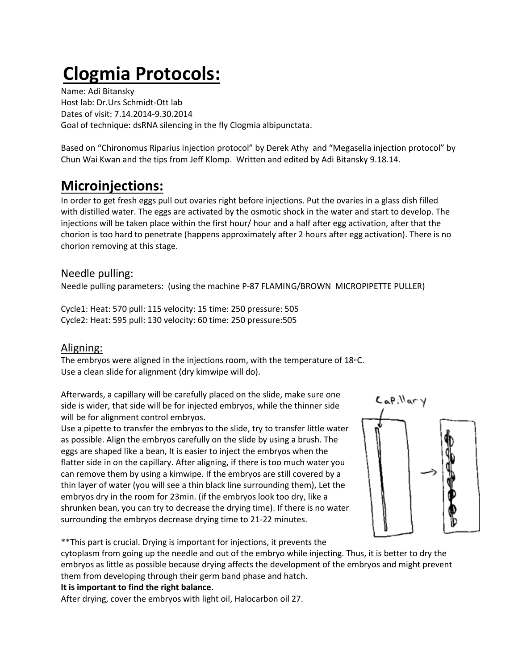# **Clogmia Protocols:**

Name: Adi Bitansky Host lab: Dr.Urs Schmidt-Ott lab Dates of visit: 7.14.2014-9.30.2014 Goal of technique: dsRNA silencing in the fly Clogmia albipunctata.

Based on "Chironomus Riparius injection protocol" by Derek Athy and "Megaselia injection protocol" by Chun Wai Kwan and the tips from Jeff Klomp. Written and edited by Adi Bitansky 9.18.14.

### **Microinjections:**

In order to get fresh eggs pull out ovaries right before injections. Put the ovaries in a glass dish filled with distilled water. The eggs are activated by the osmotic shock in the water and start to develop. The injections will be taken place within the first hour/ hour and a half after egg activation, after that the chorion is too hard to penetrate (happens approximately after 2 hours after egg activation). There is no chorion removing at this stage.

### Needle pulling:

Needle pulling parameters: (using the machine P-87 FLAMING/BROWN MICROPIPETTE PULLER)

Cycle1: Heat: 570 pull: 115 velocity: 15 time: 250 pressure: 505 Cycle2: Heat: 595 pull: 130 velocity: 60 time: 250 pressure:505

### Aligning:

The embryos were aligned in the injections room, with the temperature of 18◦C. Use a clean slide for alignment (dry kimwipe will do).

Afterwards, a capillary will be carefully placed on the slide, make sure one side is wider, that side will be for injected embryos, while the thinner side will be for alignment control embryos.

Use a pipette to transfer the embryos to the slide, try to transfer little water as possible. Align the embryos carefully on the slide by using a brush. The eggs are shaped like a bean, It is easier to inject the embryos when the flatter side in on the capillary. After aligning, if there is too much water you can remove them by using a kimwipe. If the embryos are still covered by a thin layer of water (you will see a thin black line surrounding them), Let the embryos dry in the room for 23min. (if the embryos look too dry, like a shrunken bean, you can try to decrease the drying time). If there is no water surrounding the embryos decrease drying time to 21-22 minutes.



\*\*This part is crucial. Drying is important for injections, it prevents the

cytoplasm from going up the needle and out of the embryo while injecting. Thus, it is better to dry the embryos as little as possible because drying affects the development of the embryos and might prevent them from developing through their germ band phase and hatch.

**It is important to find the right balance.**

After drying, cover the embryos with light oil, Halocarbon oil 27.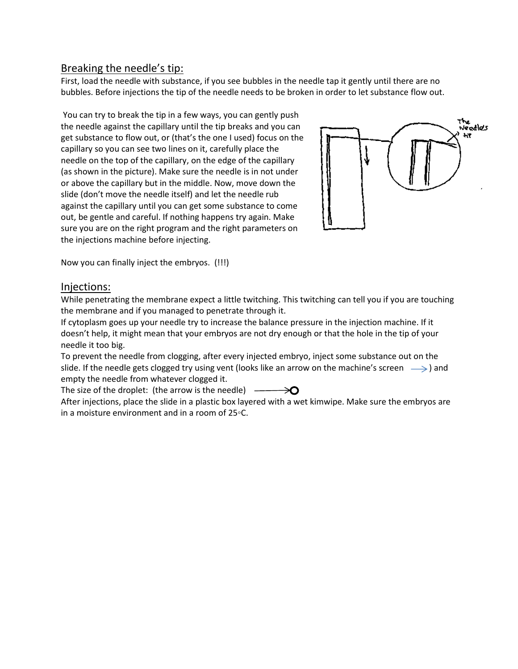### Breaking the needle's tip:

First, load the needle with substance, if you see bubbles in the needle tap it gently until there are no bubbles. Before injections the tip of the needle needs to be broken in order to let substance flow out.

You can try to break the tip in a few ways, you can gently push the needle against the capillary until the tip breaks and you can get substance to flow out, or (that's the one I used) focus on the capillary so you can see two lines on it, carefully place the needle on the top of the capillary, on the edge of the capillary (as shown in the picture). Make sure the needle is in not under or above the capillary but in the middle. Now, move down the slide (don't move the needle itself) and let the needle rub against the capillary until you can get some substance to come out, be gentle and careful. If nothing happens try again. Make sure you are on the right program and the right parameters on the injections machine before injecting.



Now you can finally inject the embryos. (!!!)

#### Injections:

While penetrating the membrane expect a little twitching. This twitching can tell you if you are touching the membrane and if you managed to penetrate through it.

If cytoplasm goes up your needle try to increase the balance pressure in the injection machine. If it doesn't help, it might mean that your embryos are not dry enough or that the hole in the tip of your needle it too big.

To prevent the needle from clogging, after every injected embryo, inject some substance out on the slide. If the needle gets clogged try using vent (looks like an arrow on the machine's screen  $\longrightarrow$ ) and empty the needle from whatever clogged it.

The size of the droplet: (the arrow is the needle)  $\rightarrow \infty$ 

After injections, place the slide in a plastic box layered with a wet kimwipe. Make sure the embryos are in a moisture environment and in a room of 25◦C.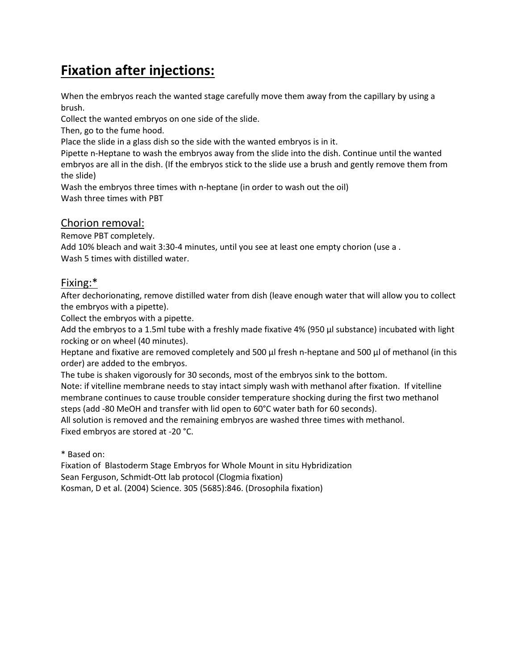### **Fixation after injections:**

When the embryos reach the wanted stage carefully move them away from the capillary by using a brush.

Collect the wanted embryos on one side of the slide.

Then, go to the fume hood.

Place the slide in a glass dish so the side with the wanted embryos is in it.

Pipette n-Heptane to wash the embryos away from the slide into the dish. Continue until the wanted embryos are all in the dish. (If the embryos stick to the slide use a brush and gently remove them from the slide)

Wash the embryos three times with n-heptane (in order to wash out the oil) Wash three times with PBT

#### Chorion removal:

Remove PBT completely.

Add 10% bleach and wait 3:30-4 minutes, until you see at least one empty chorion (use a . Wash 5 times with distilled water.

#### Fixing:\*

After dechorionating, remove distilled water from dish (leave enough water that will allow you to collect the embryos with a pipette).

Collect the embryos with a pipette.

Add the embryos to a 1.5ml tube with a freshly made fixative 4% (950 µl substance) incubated with light rocking or on wheel (40 minutes).

Heptane and fixative are removed completely and 500 µl fresh n-heptane and 500 µl of methanol (in this order) are added to the embryos.

The tube is shaken vigorously for 30 seconds, most of the embryos sink to the bottom. Note: if vitelline membrane needs to stay intact simply wash with methanol after fixation. If vitelline membrane continues to cause trouble consider temperature shocking during the first two methanol steps (add -80 MeOH and transfer with lid open to 60°C water bath for 60 seconds).

All solution is removed and the remaining embryos are washed three times with methanol. Fixed embryos are stored at -20 °C.

\* Based on:

Fixation of Blastoderm Stage Embryos for Whole Mount in situ Hybridization Sean Ferguson, Schmidt-Ott lab protocol (Clogmia fixation) Kosman, D et al. (2004) Science. 305 (5685):846. (Drosophila fixation)